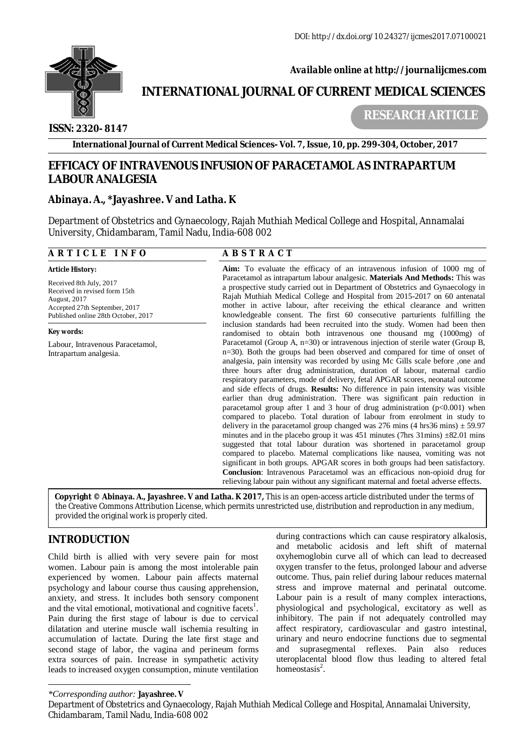

 *Available online at<http://journalijcmes.com>*

# **INTERNATIONAL JOURNAL OF CURRENT MEDICAL SCIENCES**

### **ISSN: 2320- 8147**

 **RESEARCH ARTICLE**

**International Journal of Current Medical Sciences- Vol. 7, Issue, 10, pp. 299-304, October, 2017**

## **EFFICACY OF INTRAVENOUS INFUSION OF PARACETAMOL AS INTRAPARTUM LABOUR ANALGESIA**

#### **Abinaya. A., \*Jayashree. V and Latha. K**

Department of Obstetrics and Gynaecology, Rajah Muthiah Medical College and Hospital, Annamalai University, Chidambaram, Tamil Nadu, India-608 002

#### **A R T I C L E I N F O A B S T R A C T**

Accepted 27th September, 2017 Published online 28th October, 2017

Intrapartum analgesia.

Labour, Intravenous Paracetamol,

*Article History:*  Received 8th July, 2017 Received in revised form 15th

August, 2017

*Key words:*

**Aim:** To evaluate the efficacy of an intravenous infusion of 1000 mg of Paracetamol as intrapartum labour analgesic. **Materials And Methods:** This was a prospective study carried out in Department of Obstetrics and Gynaecology in Rajah Muthiah Medical College and Hospital from 2015-2017 on 60 antenatal mother in active labour, after receiving the ethical clearance and written knowledgeable consent. The first 60 consecutive parturients fulfilling the inclusion standards had been recruited into the study. Women had been then randomised to obtain both intravenous one thousand mg (1000mg) of Paracetamol (Group A, n=30) or intravenous injection of sterile water (Group B, n=30). Both the groups had been observed and compared for time of onset of analgesia, pain intensity was recorded by using Mc Gills scale before ,one and three hours after drug administration, duration of labour, maternal cardio respiratory parameters, mode of delivery, fetal APGAR scores, neonatal outcome and side effects of drugs. **Results:** No difference in pain intensity was visible earlier than drug administration. There was significant pain reduction in paracetamol group after 1 and 3 hour of drug administration  $(p<0.001)$  when compared to placebo. Total duration of labour from enrolment in study to delivery in the paracetamol group changed was 276 mins (4 hrs36 mins)  $\pm$  59.97 minutes and in the placebo group it was  $451$  minutes (7hrs 31mins)  $\pm 82.01$  mins suggested that total labour duration was shortened in paracetamol group compared to placebo. Maternal complications like nausea, vomiting was not significant in both groups. APGAR scores in both groups had been satisfactory. **Conclusion**: Intravenous Paracetamol was an efficacious non-opioid drug for relieving labour pain without any significant maternal and foetal adverse effects.

**Copyright © Abinaya. A., Jayashree. V and Latha. K 2017***,* This is an open-access article distributed under the terms of the Creative Commons Attribution License, which permits unrestricted use, distribution and reproduction in any medium, provided the original work is properly cited.

# **INTRODUCTION**

Child birth is allied with very severe pain for most women. Labour pain is among the most intolerable pain experienced by women. Labour pain affects maternal psychology and labour course thus causing apprehension, anxiety, and stress. It includes both sensory component and the vital emotional, motivational and cognitive facets<sup>1</sup>. Pain during the first stage of labour is due to cervical dilatation and uterine muscle wall ischemia resulting in accumulation of lactate. During the late first stage and second stage of labor, the vagina and perineum forms extra sources of pain. Increase in sympathetic activity leads to increased oxygen consumption, minute ventilation during contractions which can cause respiratory alkalosis, and metabolic acidosis and left shift of maternal oxyhemoglobin curve all of which can lead to decreased oxygen transfer to the fetus, prolonged labour and adverse outcome. Thus, pain relief during labour reduces maternal stress and improve maternal and perinatal outcome. Labour pain is a result of many complex interactions, physiological and psychological, excitatory as well as inhibitory. The pain if not adequately controlled may affect respiratory, cardiovascular and gastro intestinal, urinary and neuro endocrine functions due to segmental and suprasegmental reflexes. Pain also reduces uteroplacental blood flow thus leading to altered fetal homeostasis<sup>2</sup>.

*\*Corresponding author:* **Jayashree. V**

Department of Obstetrics and Gynaecology, Rajah Muthiah Medical College and Hospital, Annamalai University, Chidambaram, Tamil Nadu, India-608 002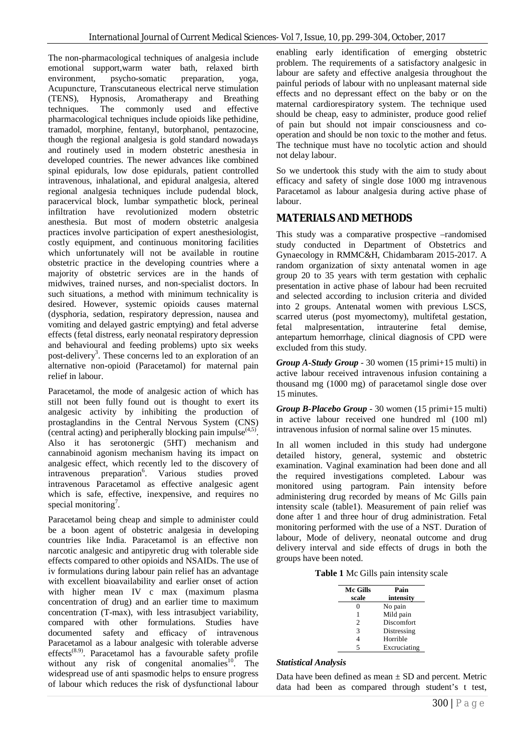The non-pharmacological techniques of analgesia include emotional support,warm water bath, relaxed birth environment, psycho-somatic preparation, yoga, Acupuncture, Transcutaneous electrical nerve stimulation (TENS), Hypnosis, Aromatherapy and Breathing techniques. The commonly used and effective pharmacological techniques include opioids like pethidine, tramadol, morphine, fentanyl, butorphanol, pentazocine, though the regional analgesia is gold standard nowadays and routinely used in modern obstetric anesthesia in developed countries. The newer advances like combined spinal epidurals, low dose epidurals, patient controlled intravenous, inhalational, and epidural analgesia, altered regional analgesia techniques include pudendal block, paracervical block, lumbar sympathetic block, perineal infiltration have revolutionized modern obstetric anesthesia. But most of modern obstetric analgesia practices involve participation of expert anesthesiologist, costly equipment, and continuous monitoring facilities which unfortunately will not be available in routine obstetric practice in the developing countries where a majority of obstetric services are in the hands of midwives, trained nurses, and non-specialist doctors. In such situations, a method with minimum technicality is desired. However, systemic opioids causes maternal (dysphoria, sedation, respiratory depression, nausea and vomiting and delayed gastric emptying) and fetal adverse effects (fetal distress, early neonatal respiratory depression and behavioural and feeding problems) upto six weeks post-delivery<sup>3</sup>. These concerns led to an exploration of an alternative non-opioid (Paracetamol) for maternal pain relief in labour.

Paracetamol, the mode of analgesic action of which has still not been fully found out is thought to exert its analgesic activity by inhibiting the production of prostaglandins in the Central Nervous System (CNS) (central acting) and peripherally blocking pain impulse $(4,5)$ . Also it has serotonergic (5HT) mechanism and cannabinoid agonism mechanism having its impact on analgesic effect, which recently led to the discovery of  $intravenous preparation<sup>6</sup>$ . . Various studies proved intravenous Paracetamol as effective analgesic agent which is safe, effective, inexpensive, and requires no special monitoring<sup>7</sup>.

Paracetamol being cheap and simple to administer could be a boon agent of obstetric analgesia in developing countries like India. Paracetamol is an effective non narcotic analgesic and antipyretic drug with tolerable side effects compared to other opioids and NSAIDs. The use of iv formulations during labour pain relief has an advantage with excellent bioavailability and earlier onset of action with higher mean IV c max (maximum plasma concentration of drug) and an earlier time to maximum concentration (T-max), with less intrasubject variability, compared with other formulations. Studies have documented safety and efficacy of intravenous Paracetamol as a labour analgesic with tolerable adverse effects(8.9). Paracetamol has a favourable safety profile without any risk of congenital anomalies<sup>10</sup>. The widespread use of anti spasmodic helps to ensure progress of labour which reduces the risk of dysfunctional labour

enabling early identification of emerging obstetric problem. The requirements of a satisfactory analgesic in labour are safety and effective analgesia throughout the painful periods of labour with no unpleasant maternal side effects and no depressant effect on the baby or on the maternal cardiorespiratory system. The technique used should be cheap, easy to administer, produce good relief of pain but should not impair consciousness and cooperation and should be non toxic to the mother and fetus. The technique must have no tocolytic action and should not delay labour.

So we undertook this study with the aim to study about efficacy and safety of single dose 1000 mg intravenous Paracetamol as labour analgesia during active phase of labour.

#### **MATERIALS AND METHODS**

This study was a comparative prospective –randomised study conducted in Department of Obstetrics and Gynaecology in RMMC&H, Chidambaram 2015-2017. A random organization of sixty antenatal women in age group 20 to 35 years with term gestation with cephalic presentation in active phase of labour had been recruited and selected according to inclusion criteria and divided into 2 groups. Antenatal women with previous LSCS, scarred uterus (post myomectomy), multifetal gestation, fetal malpresentation, intrauterine fetal demise, antepartum hemorrhage, clinical diagnosis of CPD were excluded from this study.

*Group A-Study Group* - 30 women (15 primi+15 multi) in active labour received intravenous infusion containing a thousand mg (1000 mg) of paracetamol single dose over 15 minutes.

*Group B-Placebo Group* - 30 women (15 primi+15 multi) in active labour received one hundred ml (100 ml) intravenous infusion of normal saline over 15 minutes.

In all women included in this study had undergone detailed history, general, systemic and obstetric examination. Vaginal examination had been done and all the required investigations completed. Labour was monitored using partogram. Pain intensity before administering drug recorded by means of Mc Gills pain intensity scale (table1). Measurement of pain relief was done after 1 and three hour of drug administration. Fetal monitoring performed with the use of a NST. Duration of labour, Mode of delivery, neonatal outcome and drug delivery interval and side effects of drugs in both the groups have been noted.

**Table 1** Mc Gills pain intensity scale

| <b>Mc Gills</b> | Pain              |
|-----------------|-------------------|
| scale           | intensity         |
| 0               | No pain           |
| 1               | Mild pain         |
| $\mathfrak{D}$  | <b>Discomfort</b> |
| 3               | Distressing       |
|                 | Horrible          |
| 5               | Excruciating      |

#### *Statistical Analysis*

Data have been defined as mean  $\pm$  SD and percent. Metric data had been as compared through student's t test,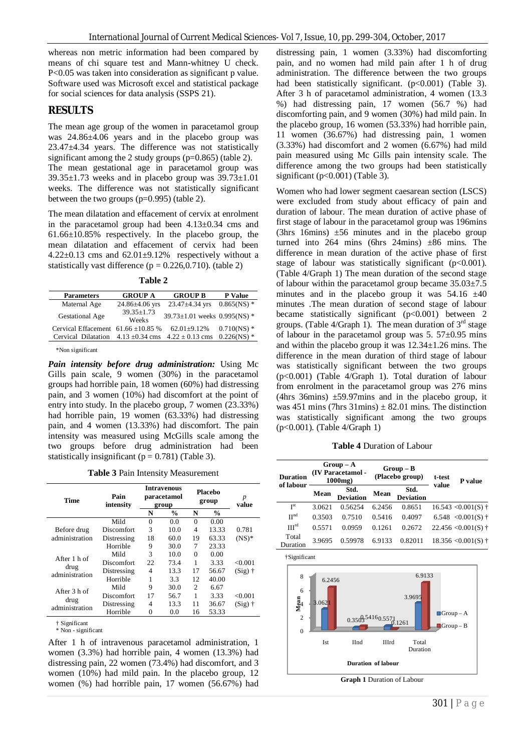whereas non metric information had been compared by means of chi square test and Mann-whitney U check. P<0.05 was taken into consideration as significant p value. Software used was Microsoft excel and statistical package for social sciences for data analysis (SSPS 21).

#### **RESULTS**

The mean age group of the women in paracetamol group was 24.86±4.06 years and in the placebo group was 23.47±4.34 years. The difference was not statistically significant among the 2 study groups  $(p=0.865)$  (table 2).

The mean gestational age in paracetamol group was  $39.35\pm1.73$  weeks and in placebo group was  $39.73\pm1.01$ weeks. The difference was not statistically significant between the two groups (p=0.995) (table 2).

The mean dilatation and effacement of cervix at enrolment in the paracetamol group had been  $4.13\pm0.34$  cms and 61.66±10.85% respectively. In the placebo group, the mean dilatation and effacement of cervix had been  $4.22\pm0.13$  cms and  $62.01\pm9.12\%$  respectively without a statistically vast difference ( $p = 0.226, 0.710$ ). (table 2)

**Table 2**

| <b>Parameters</b>                       | <b>GROUP A</b>            | <b>GROUP B</b>                        | <b>P</b> Value   |
|-----------------------------------------|---------------------------|---------------------------------------|------------------|
| Maternal Age                            | $24.86 \pm 4.06$ yrs      | 23.47±4.34 yrs                        | $0.865$ (NS) *   |
| Gestational Age                         | $39.35 \pm 1.73$<br>Weeks | $39.73 \pm 1.01$ weeks $0.995$ (NS) * |                  |
| Cervical Effacement $61.66 \pm 10.85$ % |                           | $62.01 + 9.12%$                       | $0.710$ (NS) $*$ |
| Cervical Dilatation                     | $4.13 \pm 0.34$ cms       | $4.22 \pm 0.13$ cms                   | $0.226$ (NS) $*$ |

\*Non significant

*Pain intensity before drug administration:* Using Mc Gills pain scale, 9 women (30%) in the paracetamol groups had horrible pain, 18 women (60%) had distressing pain, and 3 women (10%) had discomfort at the point of entry into study. In the placebo group, 7 women (23.33%) had horrible pain, 19 women (63.33%) had distressing pain, and 4 women (13.33%) had discomfort. The pain intensity was measured using McGills scale among the two groups before drug administration had been statistically insignificant ( $p = 0.781$ ) (Table 3).

**Table 3** Pain Intensity Measurement

| Time                   | Pain<br>intensity |    | <b>Intravenous</b><br>paracetamol<br>group |                | Placebo<br>group | p<br>value |
|------------------------|-------------------|----|--------------------------------------------|----------------|------------------|------------|
|                        |                   | N  | $\frac{0}{0}$                              | N              | $\frac{0}{0}$    |            |
|                        | Mild              | 0  | 0.0                                        | $\Omega$       | 0.00             |            |
| Before drug            | <b>Discomfort</b> | 3  | 10.0                                       | 4              | 13.33            | 0.781      |
| administration         | Distressing       | 18 | 60.0                                       | 19             | 63.33            | $(NS)*$    |
|                        | Horrible          | 9  | 30.0                                       | 7              | 23.33            |            |
| After 1 h of           | Mild              | 3  | 10.0                                       | $\Omega$       | 0.00             |            |
|                        | <b>Discomfort</b> | 22 | 73.4                                       | 1              | 3.33             | < 0.001    |
| drug<br>administration | Distressing       | 4  | 13.3                                       | 17             | 56.67            | $(Sig)$ †  |
|                        | Horrible          | 1  | 3.3                                        | 12             | 40.00            |            |
| After 3 h of           | Mild              | 9  | 30.0                                       | $\overline{c}$ | 6.67             |            |
|                        | <b>Discomfort</b> | 17 | 56.7                                       | 1              | 3.33             | < 0.001    |
| drug<br>administration | Distressing       | 4  | 13.3                                       | 11             | 36.67            | $(Sig)$ †  |
|                        | Horrible          | 0  | 0.0                                        | 16             | 53.33            |            |

<sup>†</sup> Significant

\* Non - significant

After 1 h of intravenous paracetamol administration, 1 women (3.3%) had horrible pain, 4 women (13.3%) had distressing pain, 22 women (73.4%) had discomfort, and 3 women (10%) had mild pain. In the placebo group, 12 women (%) had horrible pain, 17 women (56.67%) had distressing pain, 1 women (3.33%) had discomforting pain, and no women had mild pain after 1 h of drug administration. The difference between the two groups had been statistically significant. (p<0.001) (Table 3). After 3 h of paracetamol administration, 4 women (13.3 %) had distressing pain, 17 women (56.7 %) had discomforting pain, and 9 women (30%) had mild pain. In the placebo group, 16 women (53.33%) had horrible pain, 11 women (36.67%) had distressing pain, 1 women (3.33%) had discomfort and 2 women (6.67%) had mild pain measured using Mc Gills pain intensity scale. The difference among the two groups had been statistically significant (p<0.001) (Table 3).

Women who had lower segment caesarean section (LSCS) were excluded from study about efficacy of pain and duration of labour. The mean duration of active phase of first stage of labour in the paracetamol group was 196mins (3hrs 16mins)  $\pm 56$  minutes and in the placebo group turned into 264 mins (6hrs 24mins) ±86 mins. The difference in mean duration of the active phase of first stage of labour was statistically significant  $(p<0.001)$ . (Table 4/Graph 1) The mean duration of the second stage of labour within the paracetamol group became  $35.03 \pm 7.5$ minutes and in the placebo group it was  $54.16 \pm 40$ minutes .The mean duration of second stage of labour became statistically significant  $(p<0.001)$  between 2 groups. (Table 4/Graph 1). The mean duration of  $3<sup>rd</sup>$  stage of labour in the paracetamol group was  $5.57\pm0.95$  mins and within the placebo group it was  $12.34 \pm 1.26$  mins. The difference in the mean duration of third stage of labour was statistically significant between the two groups (p<0.001) (Table 4/Graph 1). Total duration of labour from enrolment in the paracetamol group was 276 mins (4hrs 36mins)  $\pm$ 59.97mins and in the placebo group, it was 451 mins (7hrs 31mins)  $\pm$  82.01 mins. The distinction was statistically significant among the two groups (p<0.001). (Table 4/Graph 1)

**Table 4** Duration of Labour

| <b>Duration</b>   |        | $Group-A$<br>(IV Paracetamol -<br>$1000$ mg $)$ |        | $Group-B$<br>(Placebo group) | t-test | <b>P</b> value          |
|-------------------|--------|-------------------------------------------------|--------|------------------------------|--------|-------------------------|
| of labour         | Mean   | Std.<br><b>Deviation</b>                        | Mean   | Std.<br><b>Deviation</b>     | value  |                         |
| I <sup>st</sup>   | 3.0621 | 0.56254                                         | 6.2456 | 0.8651                       |        | $16.543 \le 0.001(S)$ † |
| II <sub>ud</sub>  | 0.3503 | 0.7510                                          | 0.5416 | 0.4097                       |        | 6.548 < $0.001(S)$ †    |
| III <sup>rd</sup> | 0.5571 | 0.0959                                          | 0.1261 | 0.2672                       |        | $22.456 \le 0.001(S)$ † |
| Total<br>Duration | 3.9695 | 0.59978                                         | 6.9133 | 0.82011                      |        | $18.356 \le 0.001(S)$ † |

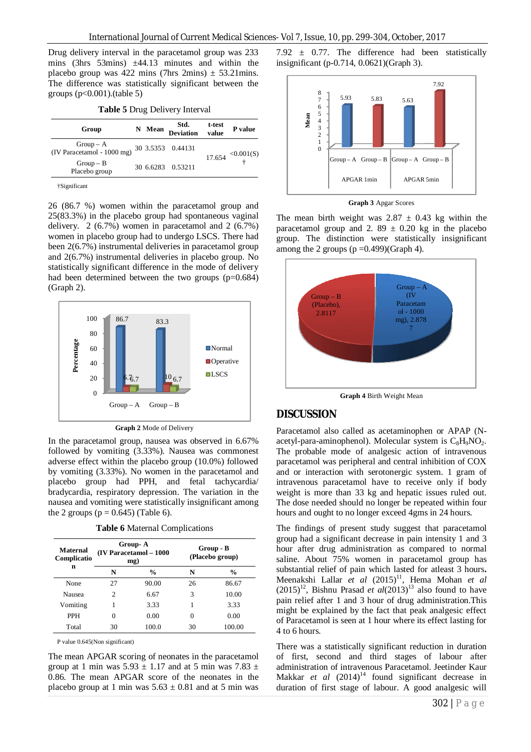Drug delivery interval in the paracetamol group was 233 mins (3hrs 53mins)  $\pm$ 44.13 minutes and within the placebo group was 422 mins (7hrs 2mins)  $\pm$  53.21mins. The difference was statistically significant between the groups  $(p<0.001)$ .(table 5)

| Table 5 Drug Delivery Interval |  |  |  |  |  |
|--------------------------------|--|--|--|--|--|
|--------------------------------|--|--|--|--|--|

| Group                                                     | N Mean | Std. t-test<br>Deviation value | P value                                              |
|-----------------------------------------------------------|--------|--------------------------------|------------------------------------------------------|
| Group - A<br>(IV Paracetamol - 1000 mg) 30 3.5353 0.44131 |        |                                |                                                      |
| $Group - B$<br>Placebo group                              |        | 30 6.6283 0.53211              | $17.654 \begin{array}{c} <0.001(S) \\ + \end{array}$ |

†Significant

26 (86.7 %) women within the paracetamol group and 25(83.3%) in the placebo group had spontaneous vaginal delivery. 2 (6.7%) women in paracetamol and 2 (6.7%) women in placebo group had to undergo LSCS. There had been 2(6.7%) instrumental deliveries in paracetamol group and 2(6.7%) instrumental deliveries in placebo group. No statistically significant difference in the mode of delivery had been determined between the two groups (p=0.684) (Graph 2).



**Graph 2** Mode of Delivery

In the paracetamol group, nausea was observed in 6.67% followed by vomiting (3.33%). Nausea was commonest adverse effect within the placebo group (10.0%) followed by vomiting (3.33%). No women in the paracetamol and placebo group had PPH, and fetal tachycardia/ bradycardia, respiratory depression. The variation in the nausea and vomiting were statistically insignificant among the 2 groups ( $p = 0.645$ ) (Table 6).

**Table 6** Maternal Complications

| Maternal<br>Complicatio | Group-A<br>(IV Paracetamol - 1000<br>mg) |               | Group - B<br>(Placebo group) |               |  |
|-------------------------|------------------------------------------|---------------|------------------------------|---------------|--|
| n                       | N                                        | $\frac{0}{0}$ | N                            | $\frac{0}{0}$ |  |
| None                    | 27                                       | 90.00         | 26                           | 86.67         |  |
| Nausea                  | 2                                        | 6.67          | 3                            | 10.00         |  |
| Vomiting                | 1                                        | 3.33          |                              | 3.33          |  |
| <b>PPH</b>              | 0                                        | 0.00          | 0                            | 0.00          |  |
| Total                   | 30                                       | 100.0         | 30                           | 100.00        |  |

P value 0.645(Non significant)

The mean APGAR scoring of neonates in the paracetamol group at 1 min was  $5.93 \pm 1.17$  and at 5 min was  $7.83 \pm 1.17$ 0.86. The mean APGAR score of the neonates in the placebo group at 1 min was  $5.63 \pm 0.81$  and at 5 min was 7.92  $\pm$  0.77. The difference had been statistically insignificant (p-0.714, 0.0621)(Graph 3).



**Graph 3** Apgar Scores

The mean birth weight was  $2.87 \pm 0.43$  kg within the paracetamol group and 2. 89  $\pm$  0.20 kg in the placebo group. The distinction were statistically insignificant among the 2 groups  $(p = 0.499)(Graph 4)$ .



**Graph 4** Birth Weight Mean

#### **DISCUSSION**

Paracetamol also called as acetaminophen or APAP (Nacetyl-para-aminophenol). Molecular system is  $C_8H_9NO_2$ . The probable mode of analgesic action of intravenous paracetamol was peripheral and central inhibition of COX and or interaction with serotonergic system. 1 gram of intravenous paracetamol have to receive only if body weight is more than 33 kg and hepatic issues ruled out. The dose needed should no longer be repeated within four hours and ought to no longer exceed 4gms in 24 hours.

The findings of present study suggest that paracetamol group had a significant decrease in pain intensity 1 and 3 hour after drug administration as compared to normal saline. About 75% women in paracetamol group has substantial relief of pain which lasted for atleast 3 hours**.**  Meenakshi Lallar *et al* (2015)<sup>11</sup>, Hema Mohan *et al*  $(2015)^{12}$ , Bishnu Prasad *et al* $(2013)^{13}$  also found to have pain relief after 1 and 3 hour of drug administration.This might be explained by the fact that peak analgesic effect of Paracetamol is seen at 1 hour where its effect lasting for 4 to 6 hours.

There was a statistically significant reduction in duration of first, second and third stages of labour after administration of intravenous Paracetamol. Jeetinder Kaur Makkar *et al*  $(2014)^{14}$  found significant decrease in duration of first stage of labour. A good analgesic will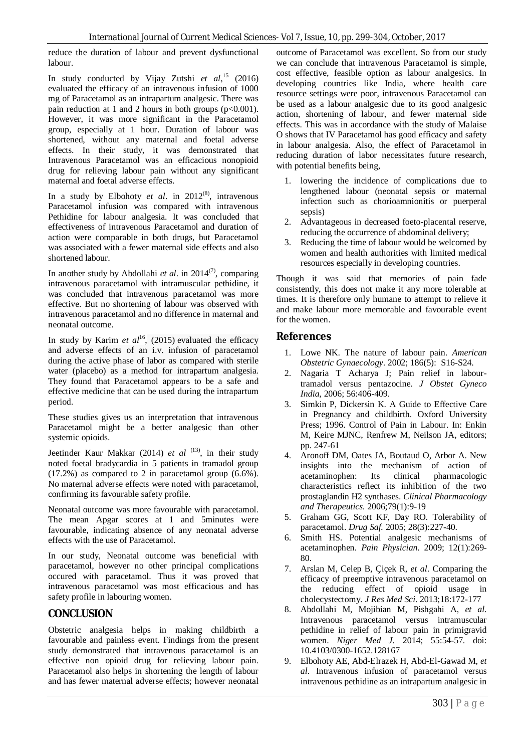reduce the duration of labour and prevent dysfunctional labour.

In study conducted by Vijay Zutshi *et al*, <sup>15</sup> (2016) evaluated the efficacy of an intravenous infusion of 1000 mg of Paracetamol as an intrapartum analgesic. There was pain reduction at 1 and 2 hours in both groups  $(p<0.001)$ . However, it was more significant in the Paracetamol group, especially at 1 hour. Duration of labour was shortened, without any maternal and foetal adverse effects. In their study, it was demonstrated that Intravenous Paracetamol was an efficacious nonopioid drug for relieving labour pain without any significant maternal and foetal adverse effects.

In a study by Elbohoty *et al.* in  $2012^{(8)}$ , intravenous Paracetamol infusion was compared with intravenous Pethidine for labour analgesia. It was concluded that effectiveness of intravenous Paracetamol and duration of action were comparable in both drugs, but Paracetamol was associated with a fewer maternal side effects and also shortened labour.

In another study by Abdollahi *et al*. in 2014<sup>(7)</sup>, comparing intravenous paracetamol with intramuscular pethidine, it was concluded that intravenous paracetamol was more effective. But no shortening of labour was observed with intravenous paracetamol and no difference in maternal and neonatal outcome.

In study by Karim *et al*<sup>16</sup>, (2015) evaluated the efficacy and adverse effects of an i.v. infusion of paracetamol during the active phase of labor as compared with sterile water (placebo) as a method for intrapartum analgesia. They found that Paracetamol appears to be a safe and effective medicine that can be used during the intrapartum period.

These studies gives us an interpretation that intravenous Paracetamol might be a better analgesic than other systemic opioids.

Jeetinder Kaur Makkar (2014) *et al* <sup>(13)</sup>, in their study noted foetal bradycardia in 5 patients in tramadol group (17.2%) as compared to 2 in paracetamol group (6.6%). No maternal adverse effects were noted with paracetamol, confirming its favourable safety profile.

Neonatal outcome was more favourable with paracetamol. The mean Apgar scores at 1 and 5minutes were favourable, indicating absence of any neonatal adverse effects with the use of Paracetamol.

In our study, Neonatal outcome was beneficial with paracetamol, however no other principal complications occured with paracetamol. Thus it was proved that intravenous paracetamol was most efficacious and has safety profile in labouring women.

#### **CONCLUSION**

Obstetric analgesia helps in making childbirth a favourable and painless event. Findings from the present study demonstrated that intravenous paracetamol is an effective non opioid drug for relieving labour pain. Paracetamol also helps in shortening the length of labour and has fewer maternal adverse effects; however neonatal outcome of Paracetamol was excellent. So from our study we can conclude that intravenous Paracetamol is simple, cost effective, feasible option as labour analgesics. In developing countries like India, where health care resource settings were poor, intravenous Paracetamol can be used as a labour analgesic due to its good analgesic action, shortening of labour, and fewer maternal side effects. This was in accordance with the study of Malaise O shows that IV Paracetamol has good efficacy and safety in labour analgesia. Also, the effect of Paracetamol in reducing duration of labor necessitates future research, with potential benefits being,

- 1. lowering the incidence of complications due to lengthened labour (neonatal sepsis or maternal infection such as chorioamnionitis or puerperal sepsis)
- 2. Advantageous in decreased foeto-placental reserve, reducing the occurrence of abdominal delivery;
- 3. Reducing the time of labour would be welcomed by women and health authorities with limited medical resources especially in developing countries.

Though it was said that memories of pain fade consistently, this does not make it any more tolerable at times. It is therefore only humane to attempt to relieve it and make labour more memorable and favourable event for the women.

#### **References**

- 1. Lowe NK. The nature of labour pain. *American Obstetric Gynaecology*. 2002; 186(5): S16-S24.
- 2. Nagaria T Acharya J; Pain relief in labourtramadol versus pentazocine. *J Obstet Gyneco India*, 2006; 56:406-409.
- 3. Simkin P, Dickersin K. A Guide to Effective Care in Pregnancy and childbirth. Oxford University Press; 1996. Control of Pain in Labour. In: Enkin M, Keire MJNC, Renfrew M, Neilson JA, editors; pp. 247-61
- 4. Aronoff DM, Oates JA, Boutaud O, Arbor A. New insights into the mechanism of action of acetaminophen: Its clinical pharmacologic characteristics reflect its inhibition of the two prostaglandin H2 synthases. *Clinical Pharmacology and Therapeutics.* 2006;79(1):9-19
- 5. Graham GG, Scott KF, Day RO. Tolerability of paracetamol. *Drug Saf.* 2005; 28(3):227-40.
- 6. Smith HS. Potential analgesic mechanisms of acetaminophen. *Pain Physician*. 2009; 12(1):269- 80.
- 7. Arslan M, Celep B, Çiçek R, *et al*. Comparing the efficacy of preemptive intravenous paracetamol on the reducing effect of opioid usage in cholecystectomy. *J Res Med Sci*. 2013;18:172-177
- 8. Abdollahi M, Mojibian M, Pishgahi A, *et al*. Intravenous paracetamol versus intramuscular pethidine in relief of labour pain in primigravid women. *Niger Med J.* 2014; 55:54-57. doi: 10.4103/0300-1652.128167
- 9. Elbohoty AE, Abd-Elrazek H, Abd-El-Gawad M, *et al*. Intravenous infusion of paracetamol versus intravenous pethidine as an intrapartum analgesic in